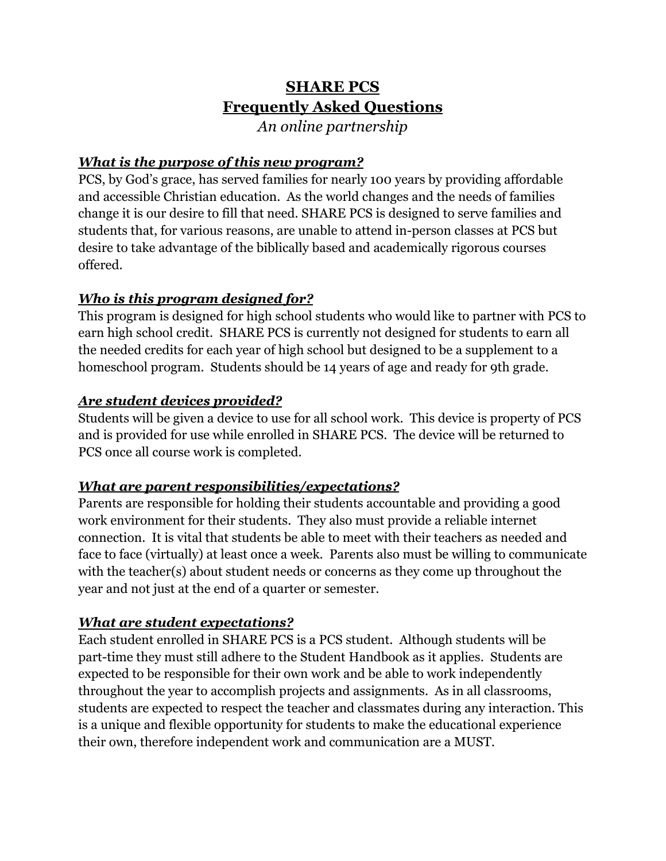# **SHARE PCS Frequently Asked Questions**

*An online partnership*

# *What is the purpose of this new program?*

PCS, by God's grace, has served families for nearly 100 years by providing affordable and accessible Christian education. As the world changes and the needs of families change it is our desire to fill that need. SHARE PCS is designed to serve families and students that, for various reasons, are unable to attend in-person classes at PCS but desire to take advantage of the biblically based and academically rigorous courses offered.

# *Who is this program designed for?*

This program is designed for high school students who would like to partner with PCS to earn high school credit. SHARE PCS is currently not designed for students to earn all the needed credits for each year of high school but designed to be a supplement to a homeschool program. Students should be 14 years of age and ready for 9th grade.

## *Are student devices provided?*

Students will be given a device to use for all school work. This device is property of PCS and is provided for use while enrolled in SHARE PCS. The device will be returned to PCS once all course work is completed.

# *What are parent responsibilities/expectations?*

Parents are responsible for holding their students accountable and providing a good work environment for their students. They also must provide a reliable internet connection. It is vital that students be able to meet with their teachers as needed and face to face (virtually) at least once a week. Parents also must be willing to communicate with the teacher(s) about student needs or concerns as they come up throughout the year and not just at the end of a quarter or semester.

# *What are student expectations?*

Each student enrolled in SHARE PCS is a PCS student. Although students will be part-time they must still adhere to the Student Handbook as it applies. Students are expected to be responsible for their own work and be able to work independently throughout the year to accomplish projects and assignments. As in all classrooms, students are expected to respect the teacher and classmates during any interaction. This is a unique and flexible opportunity for students to make the educational experience their own, therefore independent work and communication are a MUST.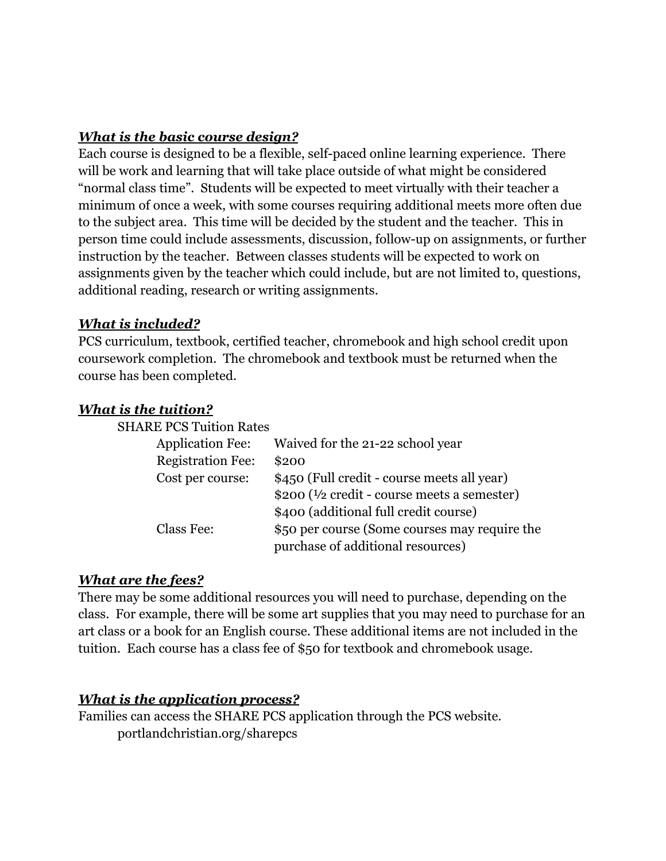## *What is the basic course design?*

Each course is designed to be a flexible, self-paced online learning experience. There will be work and learning that will take place outside of what might be considered "normal class time". Students will be expected to meet virtually with their teacher a minimum of once a week, with some courses requiring additional meets more often due to the subject area. This time will be decided by the student and the teacher. This in person time could include assessments, discussion, follow-up on assignments, or further instruction by the teacher. Between classes students will be expected to work on assignments given by the teacher which could include, but are not limited to, questions, additional reading, research or writing assignments.

#### *What is included?*

PCS curriculum, textbook, certified teacher, chromebook and high school credit upon coursework completion. The chromebook and textbook must be returned when the course has been completed.

#### *What is the tuition?*

| <b>SHARE PCS Tuition Rates</b> |                                                          |
|--------------------------------|----------------------------------------------------------|
| <b>Application Fee:</b>        | Waived for the 21-22 school year                         |
| <b>Registration Fee:</b>       | \$200                                                    |
| Cost per course:               | \$450 (Full credit - course meets all year)              |
|                                | $$200$ ( $\frac{1}{2}$ credit - course meets a semester) |
|                                | \$400 (additional full credit course)                    |
| Class Fee:                     | \$50 per course (Some courses may require the            |
|                                | purchase of additional resources)                        |

#### *What are the fees?*

There may be some additional resources you will need to purchase, depending on the class. For example, there will be some art supplies that you may need to purchase for an art class or a book for an English course. These additional items are not included in the tuition. Each course has a class fee of \$50 for textbook and chromebook usage.

#### *What is the application process?*

Families can access the SHARE PCS application through the PCS website. portlandchristian.org/sharepcs